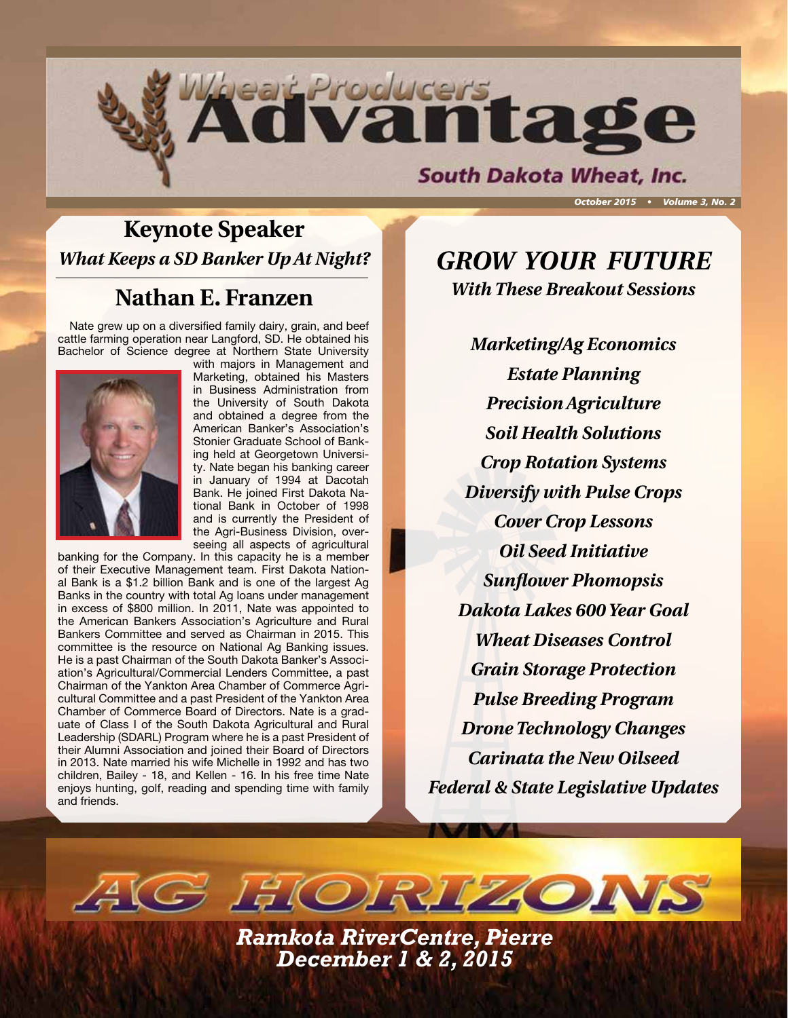

# **Keynote Speaker** *What Keeps a SD Banker Up At Night? GROW YOUR FUTURE*

# **Nathan E. Franzen**

Nate grew up on a diversified family dairy, grain, and beef cattle farming operation near Langford, SD. He obtained his Bachelor of Science degree at Northern State University



with majors in Management and Marketing, obtained his Masters in Business Administration from the University of South Dakota and obtained a degree from the American Banker's Association's Stonier Graduate School of Banking held at Georgetown University. Nate began his banking career in January of 1994 at Dacotah Bank. He joined First Dakota National Bank in October of 1998 and is currently the President of the Agri-Business Division, overseeing all aspects of agricultural

banking for the Company. In this capacity he is a member of their Executive Management team. First Dakota National Bank is a \$1.2 billion Bank and is one of the largest Ag Banks in the country with total Ag loans under management in excess of \$800 million. In 2011, Nate was appointed to the American Bankers Association's Agriculture and Rural Bankers Committee and served as Chairman in 2015. This committee is the resource on National Ag Banking issues. He is a past Chairman of the South Dakota Banker's Association's Agricultural/Commercial Lenders Committee, a past Chairman of the Yankton Area Chamber of Commerce Agricultural Committee and a past President of the Yankton Area Chamber of Commerce Board of Directors. Nate is a graduate of Class I of the South Dakota Agricultural and Rural Leadership (SDARL) Program where he is a past President of their Alumni Association and joined their Board of Directors in 2013. Nate married his wife Michelle in 1992 and has two children, Bailey - 18, and Kellen - 16. In his free time Nate enjoys hunting, golf, reading and spending time with family and friends.

*With These Breakout Sessions*

*Marketing/Ag Economics Estate Planning Precision Agriculture Soil Health Solutions Crop Rotation Systems Diversify with Pulse Crops Cover Crop Lessons Oil Seed Initiative Sunflower Phomopsis Dakota Lakes 600 Year Goal Wheat Diseases Control Grain Storage Protection Pulse Breeding Program Drone Technology Changes Carinata the New Oilseed Federal & State Legislative Updates*

*Ramkota RiverCentre, Pierre December 1 & 2, 2015*

 $AGGJH(O)RI72O1$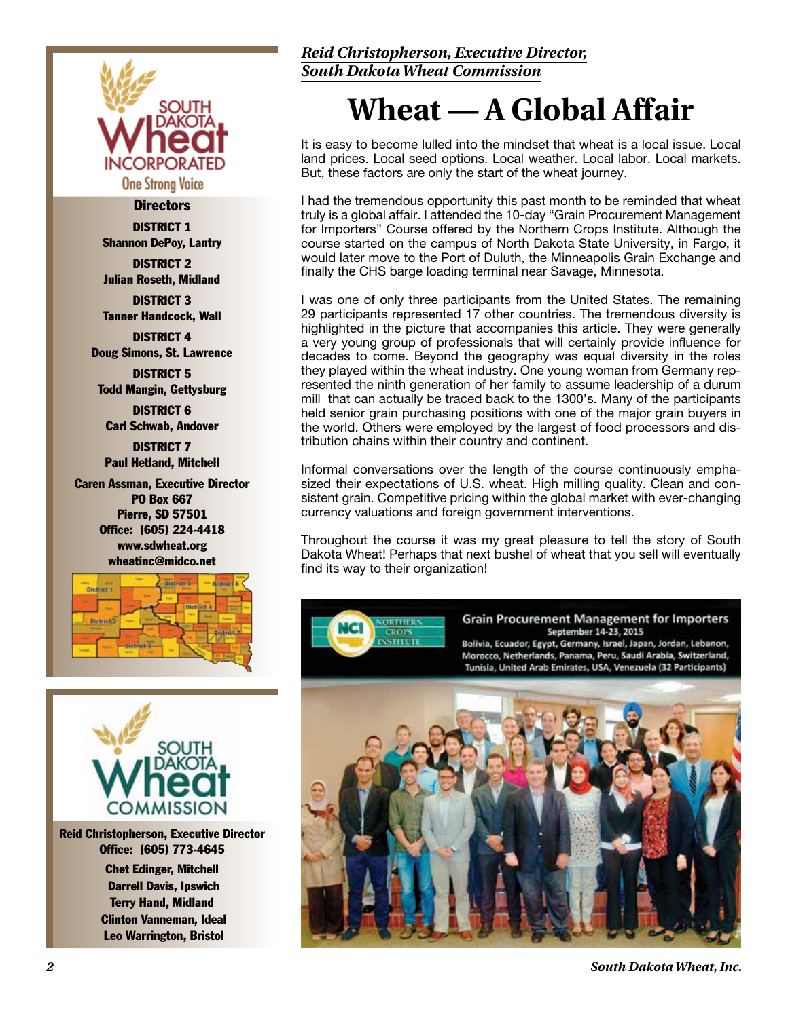

#### **Directors**

DISTRICT 1 Shannon DePoy, Lantry

DISTRICT 2 Julian Roseth, Midland

DISTRICT 3 Tanner Handcock, Wall

DISTRICT 4 Doug Simons, St. Lawrence

DISTRICT 5 Todd Mangin, Gettysburg

DISTRICT 6 Carl Schwab, Andover

DISTRICT 7 Paul Hetland, Mitchell

Caren Assman, Executive Director PO Box 667 Pierre, SD 57501 Office: (605) 224-4418 www.sdwheat.org wheatinc@midco.net





Reid Christopherson, Executive Director Office: (605) 773-4645 Chet Edinger, Mitchell Darrell Davis, Ipswich Terry Hand, Midland Clinton Vanneman, Ideal Leo Warrington, Bristol

### *Reid Christopherson, Executive Director, South Dakota Wheat Commission*

# **Wheat — A Global Affair**

It is easy to become lulled into the mindset that wheat is a local issue. Local land prices. Local seed options. Local weather. Local labor. Local markets. But, these factors are only the start of the wheat journey.

I had the tremendous opportunity this past month to be reminded that wheat truly is a global affair. I attended the 10-day "Grain Procurement Management for Importers" Course offered by the Northern Crops Institute. Although the course started on the campus of North Dakota State University, in Fargo, it would later move to the Port of Duluth, the Minneapolis Grain Exchange and finally the CHS barge loading terminal near Savage, Minnesota.

I was one of only three participants from the United States. The remaining 29 participants represented 17 other countries. The tremendous diversity is highlighted in the picture that accompanies this article. They were generally a very young group of professionals that will certainly provide influence for decades to come. Beyond the geography was equal diversity in the roles they played within the wheat industry. One young woman from Germany represented the ninth generation of her family to assume leadership of a durum mill that can actually be traced back to the 1300's. Many of the participants held senior grain purchasing positions with one of the major grain buyers in the world. Others were employed by the largest of food processors and distribution chains within their country and continent.

Informal conversations over the length of the course continuously emphasized their expectations of U.S. wheat. High milling quality. Clean and consistent grain. Competitive pricing within the global market with ever-changing currency valuations and foreign government interventions.

Throughout the course it was my great pleasure to tell the story of South Dakota Wheat! Perhaps that next bushel of wheat that you sell will eventually find its way to their organization!



*2 South Dakota Wheat, Inc.*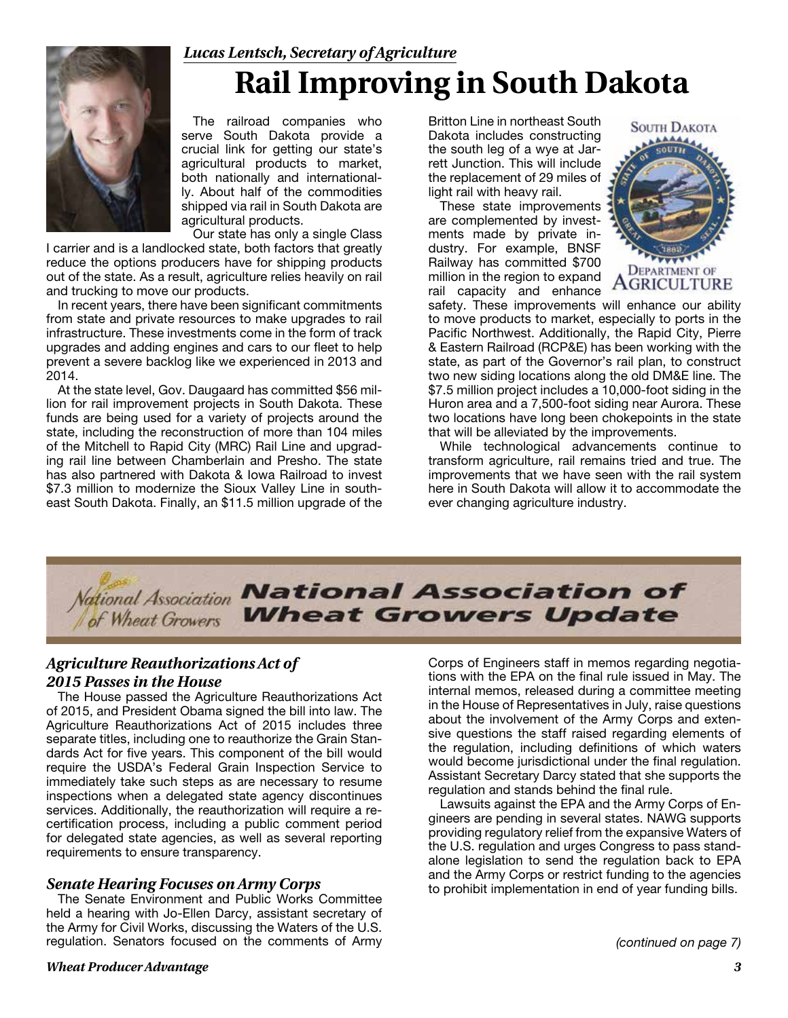# *Lucas Lentsch, Secretary of Agriculture* **Rail Improving in South Dakota**



The railroad companies who serve South Dakota provide a crucial link for getting our state's agricultural products to market, both nationally and internationally. About half of the commodities shipped via rail in South Dakota are agricultural products.

Our state has only a single Class I carrier and is a landlocked state, both factors that greatly reduce the options producers have for shipping products out of the state. As a result, agriculture relies heavily on rail and trucking to move our products.

In recent years, there have been significant commitments from state and private resources to make upgrades to rail infrastructure. These investments come in the form of track upgrades and adding engines and cars to our fleet to help prevent a severe backlog like we experienced in 2013 and 2014.

At the state level, Gov. Daugaard has committed \$56 million for rail improvement projects in South Dakota. These funds are being used for a variety of projects around the state, including the reconstruction of more than 104 miles of the Mitchell to Rapid City (MRC) Rail Line and upgrading rail line between Chamberlain and Presho. The state has also partnered with Dakota & Iowa Railroad to invest \$7.3 million to modernize the Sioux Valley Line in southeast South Dakota. Finally, an \$11.5 million upgrade of the Britton Line in northeast South Dakota includes constructing the south leg of a wye at Jarrett Junction. This will include the replacement of 29 miles of light rail with heavy rail.

These state improvements are complemented by investments made by private industry. For example, BNSF Railway has committed \$700 million in the region to expand rail capacity and enhance



safety. These improvements will enhance our ability to move products to market, especially to ports in the Pacific Northwest. Additionally, the Rapid City, Pierre & Eastern Railroad (RCP&E) has been working with the state, as part of the Governor's rail plan, to construct two new siding locations along the old DM&E line. The \$7.5 million project includes a 10,000-foot siding in the Huron area and a 7,500-foot siding near Aurora. These two locations have long been chokepoints in the state that will be alleviated by the improvements.

While technological advancements continue to transform agriculture, rail remains tried and true. The improvements that we have seen with the rail system here in South Dakota will allow it to accommodate the ever changing agriculture industry.



### *Agriculture Reauthorizations Act of 2015 Passes in the House*

The House passed the Agriculture Reauthorizations Act of 2015, and President Obama signed the bill into law. The Agriculture Reauthorizations Act of 2015 includes three separate titles, including one to reauthorize the Grain Standards Act for five years. This component of the bill would require the USDA's Federal Grain Inspection Service to immediately take such steps as are necessary to resume inspections when a delegated state agency discontinues services. Additionally, the reauthorization will require a recertification process, including a public comment period for delegated state agencies, as well as several reporting requirements to ensure transparency.

### *Senate Hearing Focuses on Army Corps*

The Senate Environment and Public Works Committee held a hearing with Jo-Ellen Darcy, assistant secretary of the Army for Civil Works, discussing the Waters of the U.S. regulation. Senators focused on the comments of Army Corps of Engineers staff in memos regarding negotiations with the EPA on the final rule issued in May. The internal memos, released during a committee meeting in the House of Representatives in July, raise questions about the involvement of the Army Corps and extensive questions the staff raised regarding elements of the regulation, including definitions of which waters would become jurisdictional under the final regulation. Assistant Secretary Darcy stated that she supports the regulation and stands behind the final rule.

Lawsuits against the EPA and the Army Corps of Engineers are pending in several states. NAWG supports providing regulatory relief from the expansive Waters of the U.S. regulation and urges Congress to pass standalone legislation to send the regulation back to EPA and the Army Corps or restrict funding to the agencies to prohibit implementation in end of year funding bills.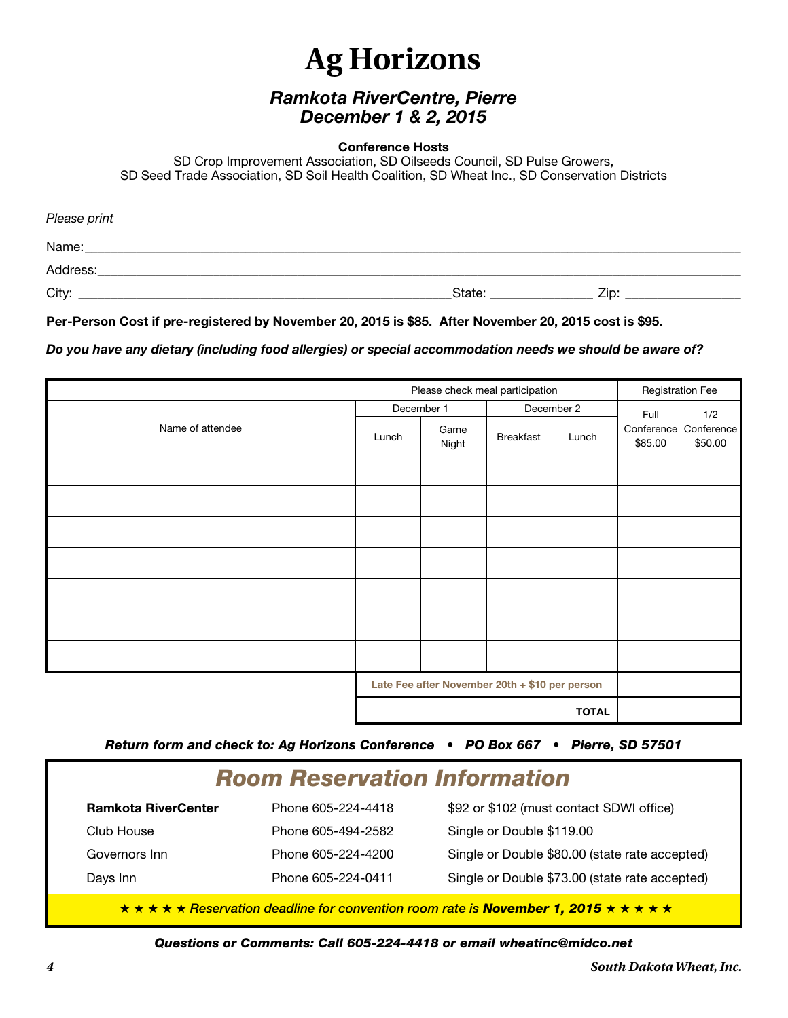# **Ag Horizons**

## *Ramkota RiverCentre, Pierre December 1 & 2, 2015*

#### **Conference Hosts**

SD Crop Improvement Association, SD Oilseeds Council, SD Pulse Growers, SD Seed Trade Association, SD Soil Health Coalition, SD Wheat Inc., SD Conservation Districts

| Please print |        |      |  |
|--------------|--------|------|--|
| Name:        |        |      |  |
| Address:     |        |      |  |
| City:        | State: | Zip: |  |

#### **Per-Person Cost if pre-registered by November 20, 2015 is \$85. After November 20, 2015 cost is \$95.**

*Do you have any dietary (including food allergies) or special accommodation needs we should be aware of?*

| Please check meal participation |                                                                |               | <b>Registration Fee</b> |       |                       |                       |
|---------------------------------|----------------------------------------------------------------|---------------|-------------------------|-------|-----------------------|-----------------------|
|                                 | December 1                                                     |               | December 2              |       | Full                  | 1/2                   |
| Name of attendee                | Lunch                                                          | Game<br>Night | Breakfast               | Lunch | Conference<br>\$85.00 | Conference<br>\$50.00 |
|                                 |                                                                |               |                         |       |                       |                       |
|                                 |                                                                |               |                         |       |                       |                       |
|                                 |                                                                |               |                         |       |                       |                       |
|                                 |                                                                |               |                         |       |                       |                       |
|                                 |                                                                |               |                         |       |                       |                       |
|                                 |                                                                |               |                         |       |                       |                       |
|                                 |                                                                |               |                         |       |                       |                       |
|                                 | Late Fee after November 20th + \$10 per person<br><b>TOTAL</b> |               |                         |       |                       |                       |
|                                 |                                                                |               |                         |       |                       |                       |

*Return form and check to: Ag Horizons Conference • PO Box 667 • Pierre, SD 57501*

# *Room Reservation Information* **Ramkota RiverCenter** Phone 605-224-4418 \$92 or \$102 (must contact SDWI office) Club House Phone 605-494-2582 Single or Double \$119.00 Governors Inn **Phone 605-224-4200** Single or Double \$80.00 (state rate accepted) Days Inn Phone 605-224-0411 Single or Double \$73.00 (state rate accepted)

★ ★ ★ ★ ★ *Reservation deadline for convention room rate is November 1, 2015* ★ ★ ★ ★ ★

*Questions or Comments: Call 605-224-4418 or email wheatinc@midco.net*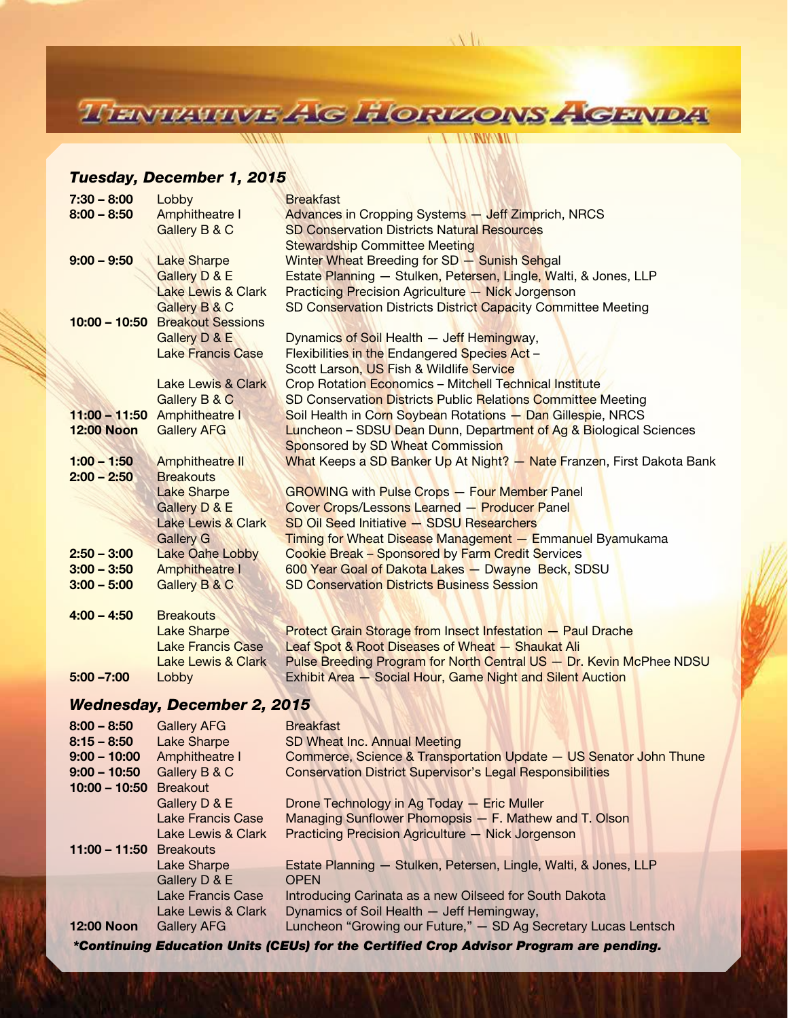TIENTRATIVE AG HORIZONS AGENDA

**VENNIKAILI** 

### *Tuesday, December 1, 2015*

41 1 1 1 1 1 1 1 1 1 1 1 1 1 1

| $7:30 - 8:00$                      | Lobby                           | <b>Breakfast</b>                                                      |  |  |
|------------------------------------|---------------------------------|-----------------------------------------------------------------------|--|--|
| $8:00 - 8:50$                      | <b>Amphitheatre I</b>           | Advances in Cropping Systems - Jeff Zimprich, NRCS                    |  |  |
|                                    | Gallery B & C                   | <b>SD Conservation Districts Natural Resources</b>                    |  |  |
|                                    |                                 | <b>Stewardship Committee Meeting</b>                                  |  |  |
| $9:00 - 9:50$                      | <b>Lake Sharpe</b>              | Winter Wheat Breeding for SD - Sunish Sehgal                          |  |  |
|                                    | <b>Gallery D &amp; E</b>        | Estate Planning - Stulken, Petersen, Lingle, Walti, & Jones, LLP      |  |  |
|                                    | <b>Lake Lewis &amp; Clark</b>   | <b>Practicing Precision Agriculture - Nick Jorgenson</b>              |  |  |
|                                    | Gallery B & C                   | SD Conservation Districts District Capacity Committee Meeting         |  |  |
|                                    | 10:00 - 10:50 Breakout Sessions |                                                                       |  |  |
|                                    | Gallery D & E                   | Dynamics of Soil Health - Jeff Hemingway,                             |  |  |
|                                    | <b>Lake Francis Case</b>        | Flexibilities in the Endangered Species Act -                         |  |  |
|                                    |                                 | Scott Larson, US Fish & Wildlife Service                              |  |  |
|                                    | <b>Lake Lewis &amp; Clark</b>   | Crop Rotation Economics - Mitchell Technical Institute                |  |  |
|                                    | Gallery B & C                   | SD Conservation Districts Public Relations Committee Meeting          |  |  |
|                                    | 11:00 - 11:50 Amphitheatre I    | Soil Health in Corn Soybean Rotations - Dan Gillespie, NRCS           |  |  |
| <b>12:00 Noon</b>                  | <b>Gallery AFG</b>              | Luncheon - SDSU Dean Dunn, Department of Ag & Biological Sciences     |  |  |
|                                    |                                 | Sponsored by SD Wheat Commission                                      |  |  |
| $1:00 - 1:50$                      | <b>Amphitheatre II</b>          | What Keeps a SD Banker Up At Night? - Nate Franzen, First Dakota Bank |  |  |
| $2:00 - 2:50$                      | <b>Breakouts</b>                |                                                                       |  |  |
|                                    | <b>Lake Sharpe</b>              | <b>GROWING with Pulse Crops - Four Member Panel</b>                   |  |  |
|                                    | Gallery D & E                   | <b>Cover Crops/Lessons Learned - Producer Panel</b>                   |  |  |
|                                    | <b>Lake Lewis &amp; Clark</b>   | <b>SD Oil Seed Initiative - SDSU Researchers</b>                      |  |  |
|                                    | <b>Gallery G</b>                | <b>Timing for Wheat Disease Management - Emmanuel Byamukama</b>       |  |  |
| $2:50 - 3:00$                      | <b>Lake Oahe Lobby</b>          | Cookie Break - Sponsored by Farm Credit Services                      |  |  |
| $3:00 - 3:50$                      | <b>Amphitheatre I</b>           | 600 Year Goal of Dakota Lakes - Dwayne Beck, SDSU                     |  |  |
| $3:00 - 5:00$                      | Gallery B & C                   | <b>SD Conservation Districts Business Session</b>                     |  |  |
|                                    |                                 |                                                                       |  |  |
| $4:00 - 4:50$                      | <b>Breakouts</b>                |                                                                       |  |  |
|                                    | <b>Lake Sharpe</b>              | <b>Protect Grain Storage from Insect Infestation - Paul Drache</b>    |  |  |
|                                    | <b>Lake Francis Case</b>        | Leaf Spot & Root Diseases of Wheat - Shaukat Ali                      |  |  |
|                                    | Lake Lewis & Clark              | Pulse Breeding Program for North Central US - Dr. Kevin McPhee NDSU   |  |  |
| $5:00 - 7:00$                      | Lobby                           | Exhibit Area - Social Hour, Game Night and Silent Auction             |  |  |
|                                    |                                 |                                                                       |  |  |
| <b>Wednesday, December 2, 2015</b> |                                 |                                                                       |  |  |
| $8:00 - 8:50$                      | <b>Gallery AFG</b>              | <b>Breakfast</b>                                                      |  |  |
| $8:15 - 8:50$                      | <b>Lake Sharpe</b>              | SD Wheat Inc. Annual Meeting                                          |  |  |
| $9:00 - 10:00$                     | Amphitheatre I                  | Commerce, Science & Transportation Update - US Senator John Thune     |  |  |
| $9:00 - 10:50$                     | Gallery B & C                   | <b>Conservation District Supervisor's Legal Responsibilities</b>      |  |  |
| $10:00 - 10:50$                    | <b>Breakout</b>                 |                                                                       |  |  |
|                                    | Gallery D & E                   | Drone Technology in Ag Today - Eric Muller                            |  |  |
|                                    | <b>Lake Francis Case</b>        | Managing Sunflower Phomopsis - F. Mathew and T. Olson                 |  |  |
|                                    | Lake Lewis & Clark              | <b>Practicing Precision Agriculture - Nick Jorgenson</b>              |  |  |
| $11:00 - 11:50$                    | <b>Breakouts</b>                |                                                                       |  |  |
|                                    | Lake Sharpe                     | Estate Planning - Stulken, Petersen, Lingle, Walti, & Jones, LLP      |  |  |
|                                    | Gallery D & E                   | <b>OPEN</b>                                                           |  |  |
|                                    | <b>Lake Francis Case</b>        | Introducing Carinata as a new Oilseed for South Dakota                |  |  |
|                                    | Lake Lewis & Clark              | Dynamics of Soil Health - Jeff Hemingway,                             |  |  |
| <b>12:00 Noon</b>                  | <b>Gallery AFG</b>              | Luncheon "Growing our Future," - SD Ag Secretary Lucas Lentsch        |  |  |

*\*Continuing Education Units (CEUs) for the Certified Crop Advisor Program are pending.*

*Wheat Producer Advantage 5*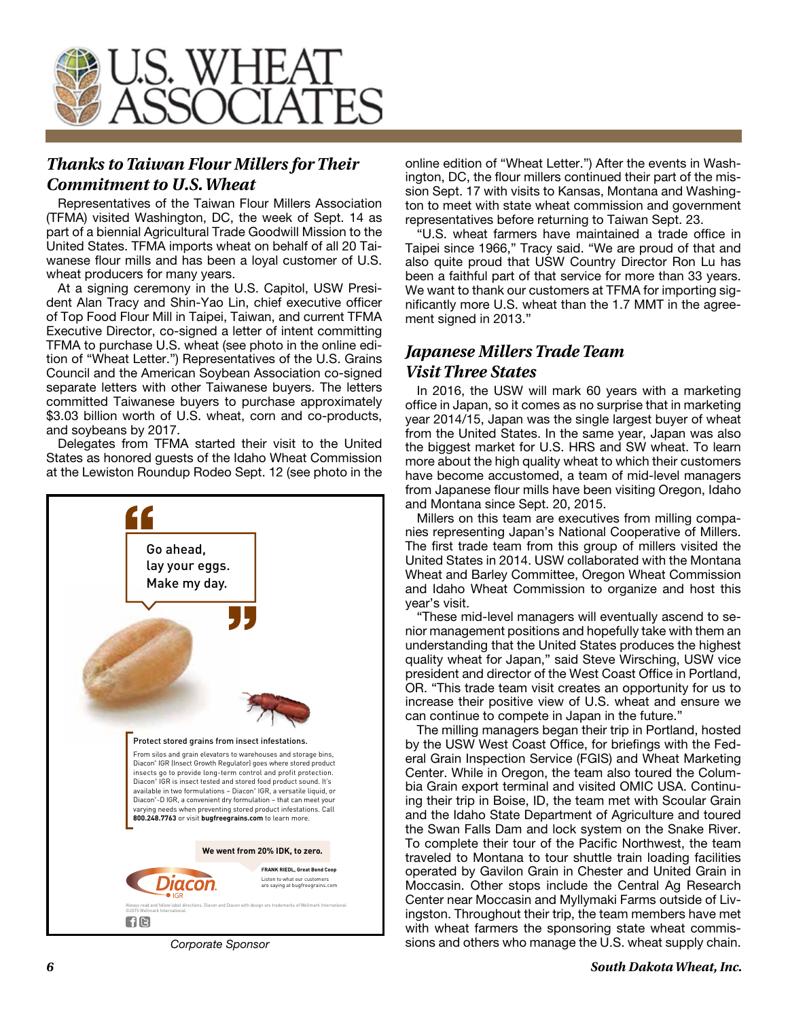

## *Thanks to Taiwan Flour Millers for Their Commitment to U.S. Wheat*

Representatives of the Taiwan Flour Millers Association (TFMA) visited Washington, DC, the week of Sept. 14 as part of a biennial Agricultural Trade Goodwill Mission to the United States. TFMA imports wheat on behalf of all 20 Taiwanese flour mills and has been a loyal customer of U.S. wheat producers for many years.

At a signing ceremony in the U.S. Capitol, USW President Alan Tracy and Shin-Yao Lin, chief executive officer of Top Food Flour Mill in Taipei, Taiwan, and current TFMA Executive Director, co-signed a letter of intent committing TFMA to purchase U.S. wheat (see photo in the online edition of "Wheat Letter.") Representatives of the U.S. Grains Council and the American Soybean Association co-signed separate letters with other Taiwanese buyers. The letters committed Taiwanese buyers to purchase approximately \$3.03 billion worth of U.S. wheat, corn and co-products, and soybeans by 2017.

Delegates from TFMA started their visit to the United States as honored guests of the Idaho Wheat Commission at the Lewiston Roundup Rodeo Sept. 12 (see photo in the



online edition of "Wheat Letter.") After the events in Washington, DC, the flour millers continued their part of the mission Sept. 17 with visits to Kansas, Montana and Washington to meet with state wheat commission and government representatives before returning to Taiwan Sept. 23.

"U.S. wheat farmers have maintained a trade office in Taipei since 1966," Tracy said. "We are proud of that and also quite proud that USW Country Director Ron Lu has been a faithful part of that service for more than 33 years. We want to thank our customers at TFMA for importing significantly more U.S. wheat than the 1.7 MMT in the agreement signed in 2013."

## *Japanese Millers Trade Team Visit Three States*

In 2016, the USW will mark 60 years with a marketing office in Japan, so it comes as no surprise that in marketing year 2014/15, Japan was the single largest buyer of wheat from the United States. In the same year, Japan was also the biggest market for U.S. HRS and SW wheat. To learn more about the high quality wheat to which their customers have become accustomed, a team of mid-level managers from Japanese flour mills have been visiting Oregon, Idaho and Montana since Sept. 20, 2015.

Millers on this team are executives from milling companies representing Japan's National Cooperative of Millers. The first trade team from this group of millers visited the United States in 2014. USW collaborated with the Montana Wheat and Barley Committee, Oregon Wheat Commission and Idaho Wheat Commission to organize and host this year's visit.

"These mid-level managers will eventually ascend to senior management positions and hopefully take with them an understanding that the United States produces the highest quality wheat for Japan," said Steve Wirsching, USW vice president and director of the West Coast Office in Portland, OR. "This trade team visit creates an opportunity for us to increase their positive view of U.S. wheat and ensure we can continue to compete in Japan in the future."

The milling managers began their trip in Portland, hosted by the USW West Coast Office, for briefings with the Federal Grain Inspection Service (FGIS) and Wheat Marketing Center. While in Oregon, the team also toured the Columbia Grain export terminal and visited OMIC USA. Continuing their trip in Boise, ID, the team met with Scoular Grain and the Idaho State Department of Agriculture and toured the Swan Falls Dam and lock system on the Snake River. To complete their tour of the Pacific Northwest, the team traveled to Montana to tour shuttle train loading facilities operated by Gavilon Grain in Chester and United Grain in Moccasin. Other stops include the Central Ag Research Center near Moccasin and Myllymaki Farms outside of Livingston. Throughout their trip, the team members have met with wheat farmers the sponsoring state wheat commis-*Corporate Sponsor* sions and others who manage the U.S. wheat supply chain.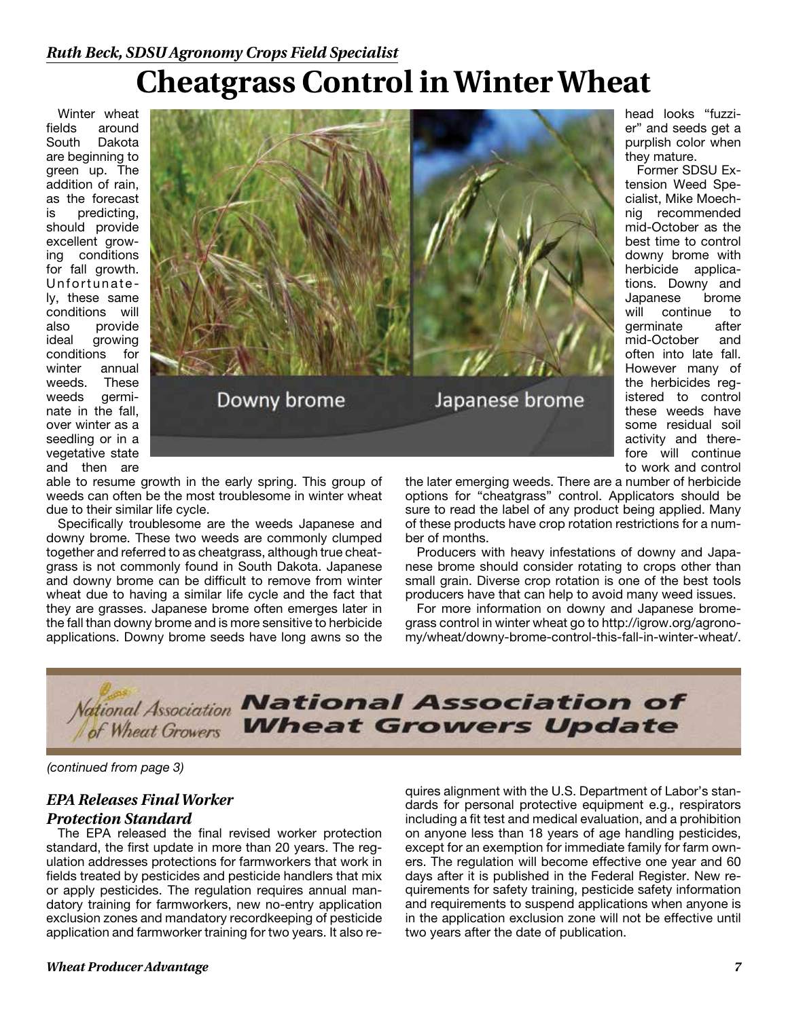## *Ruth Beck, SDSU Agronomy Crops Field Specialist*

# **Cheatgrass Control in Winter Wheat**

Winter wheat fields around South Dakota are beginning to green up. The addition of rain, as the forecast is predicting, should provide excellent growing conditions for fall growth. Unfortunate ly, these same conditions will also provide ideal growing conditions for winter annual weeds. These weeds germinate in the fall, over winter as a seedling or in a vegetative state and then are



able to resume growth in the early spring. This group of weeds can often be the most troublesome in winter wheat due to their similar life cycle.

Specifically troublesome are the weeds Japanese and downy brome. These two weeds are commonly clumped together and referred to as cheatgrass, although true cheatgrass is not commonly found in South Dakota. Japanese and downy brome can be difficult to remove from winter wheat due to having a similar life cycle and the fact that they are grasses. Japanese brome often emerges later in the fall than downy brome and is more sensitive to herbicide applications. Downy brome seeds have long awns so the

the later emerging weeds. There are a number of herbicide options for "cheatgrass" control. Applicators should be sure to read the label of any product being applied. Many of these products have crop rotation restrictions for a number of months.

head looks "fuzzier" and seeds get a purplish color when

Former SDSU Extension Weed Specialist, Mike Moechnig recommended mid-October as the best time to control downy brome with herbicide applications. Downy and Japanese brome will continue to<br>
germinate after

they mature.

germinate

mid-October and often into late fall. However many of the herbicides registered to control these weeds have some residual soil activity and therefore will continue to work and control

Producers with heavy infestations of downy and Japanese brome should consider rotating to crops other than small grain. Diverse crop rotation is one of the best tools producers have that can help to avoid many weed issues.

For more information on downy and Japanese bromegrass control in winter wheat go to http://igrow.org/agronomy/wheat/downy-brome-control-this-fall-in-winter-wheat/.



*(continued from page 3)*

## *EPA Releases Final Worker*

# *Protection Standard*

The EPA released the final revised worker protection standard, the first update in more than 20 years. The regulation addresses protections for farmworkers that work in fields treated by pesticides and pesticide handlers that mix or apply pesticides. The regulation requires annual mandatory training for farmworkers, new no-entry application exclusion zones and mandatory recordkeeping of pesticide application and farmworker training for two years. It also requires alignment with the U.S. Department of Labor's standards for personal protective equipment e.g., respirators including a fit test and medical evaluation, and a prohibition on anyone less than 18 years of age handling pesticides, except for an exemption for immediate family for farm owners. The regulation will become effective one year and 60 days after it is published in the Federal Register. New requirements for safety training, pesticide safety information and requirements to suspend applications when anyone is in the application exclusion zone will not be effective until two years after the date of publication.